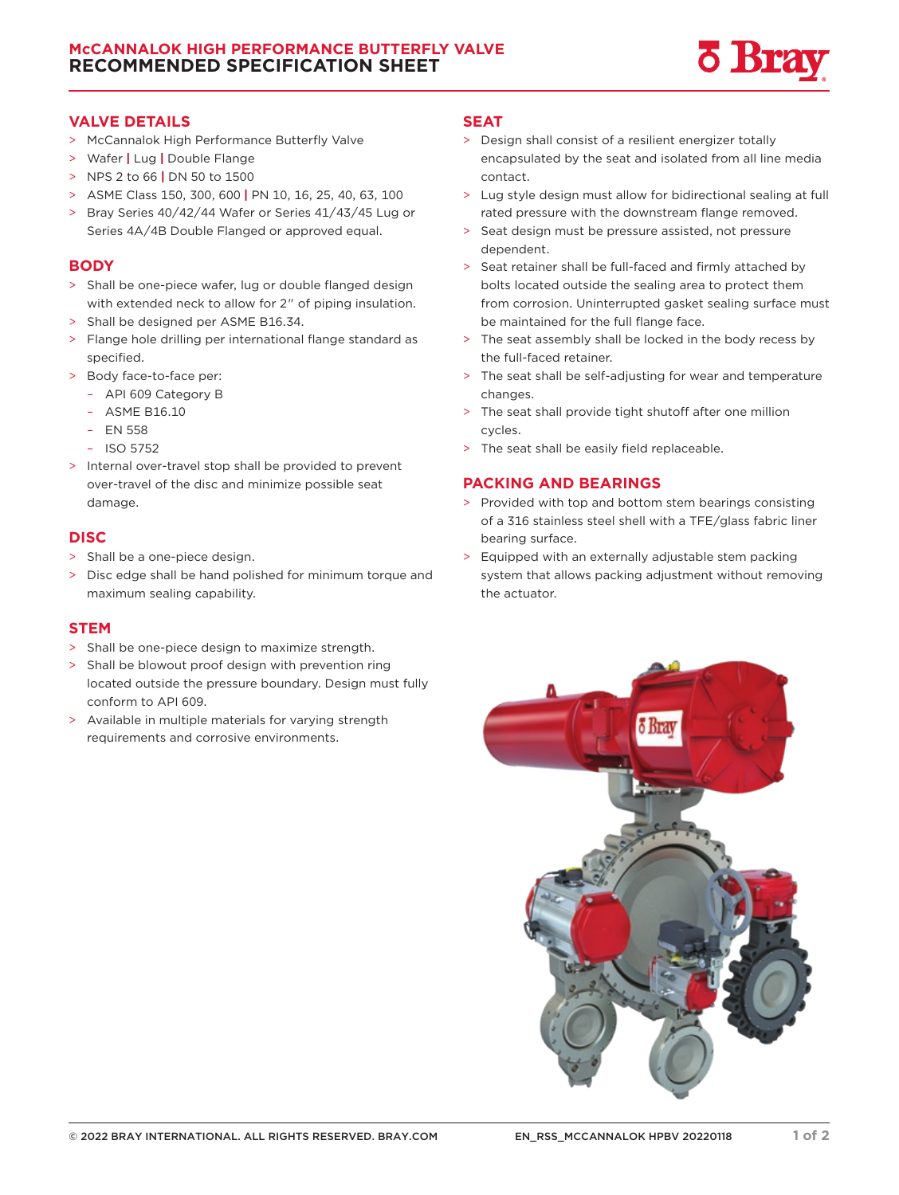

## **VALVE DETAILS**

- > McCannalok High Performance Butterfly Valve
- > Wafer **|** Lug **|** Double Flange
- > NPS 2 to 66 **|** DN 50 to 1500
- > ASME Class 150, 300, 600 **|** PN 10, 16, 25, 40, 63, 100
- > Bray Series 40/42/44 Wafer or Series 41/43/45 Lug or Series 4A/4B Double Flanged or approved equal.

## **BODY**

- > Shall be one-piece wafer, lug or double flanged design with extended neck to allow for 2" of piping insulation.
- > Shall be designed per ASME B16.34.
- > Flange hole drilling per international flange standard as specified.
- > Body face-to-face per:
- API 609 Category B
	- ASME B16.10
	- EN 558
- ISO 5752
- > Internal over-travel stop shall be provided to prevent over-travel of the disc and minimize possible seat damage.

# **DISC**

- > Shall be a one-piece design.
- > Disc edge shall be hand polished for minimum torque and maximum sealing capability.

### **STEM**

- > Shall be one-piece design to maximize strength.
- > Shall be blowout proof design with prevention ring located outside the pressure boundary. Design must fully conform to API 609.
- > Available in multiple materials for varying strength requirements and corrosive environments.

## **SEAT**

- > Design shall consist of a resilient energizer totally encapsulated by the seat and isolated from all line media contact.
- > Lug style design must allow for bidirectional sealing at full rated pressure with the downstream flange removed.
- > Seat design must be pressure assisted, not pressure dependent.
- > Seat retainer shall be full-faced and firmly attached by bolts located outside the sealing area to protect them from corrosion. Uninterrupted gasket sealing surface must be maintained for the full flange face.
- > The seat assembly shall be locked in the body recess by the full-faced retainer.
- > The seat shall be self-adjusting for wear and temperature changes.
- > The seat shall provide tight shutoff after one million cycles.
- > The seat shall be easily field replaceable.

# **PACKING AND BEARINGS**

- > Provided with top and bottom stem bearings consisting of a 316 stainless steel shell with a TFE/glass fabric liner bearing surface.
- > Equipped with an externally adjustable stem packing system that allows packing adjustment without removing the actuator.